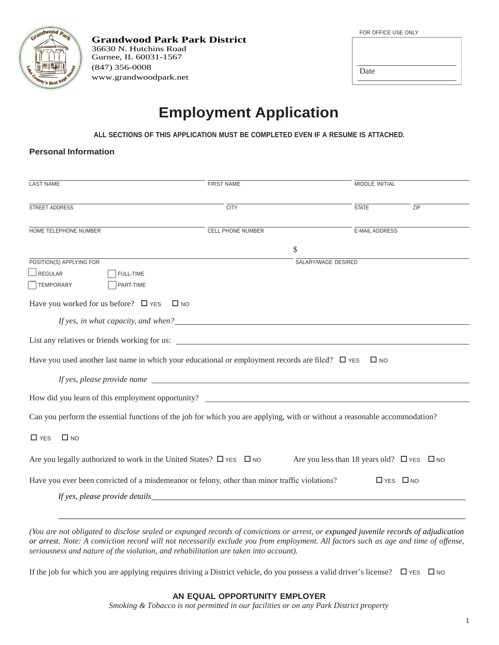| Grandwood Park                        |  |
|---------------------------------------|--|
|                                       |  |
|                                       |  |
| V's Best Kept Seco<br><b>Fe Count</b> |  |

**Grandwood Park Park District** 36630 N. Hutchins Road Gurnee, IL 60031-1567 (847) 356-0008 www.grandwoodpark.net

| FOR OFFICE USE ONLY |
|---------------------|
|                     |
|                     |
|                     |
| Date                |
|                     |

## **Employment Application**

**ALL SECTIONS OF THIS APPLICATION MUST BE COMPLETED EVEN IF A RESUME IS ATTACHED.**

#### **Personal Information**

| <b>LAST NAME</b>                                                                                                                                                                                                                                                                                                                | <b>MIDDLE INITIAL</b><br><b>FIRST NAME</b> |                                                      |                      |     |
|---------------------------------------------------------------------------------------------------------------------------------------------------------------------------------------------------------------------------------------------------------------------------------------------------------------------------------|--------------------------------------------|------------------------------------------------------|----------------------|-----|
| STREET ADDRESS                                                                                                                                                                                                                                                                                                                  | <b>CITY</b>                                |                                                      | <b>STATE</b>         | ZIP |
| HOME TELEPHONE NUMBER                                                                                                                                                                                                                                                                                                           | <b>CELL PHONE NUMBER</b>                   |                                                      | E-MAIL ADDRESS       |     |
|                                                                                                                                                                                                                                                                                                                                 |                                            | \$                                                   |                      |     |
| POSITION(S) APPLYING FOR<br>$\Box$ REGULAR<br>FULL-TIME<br>TEMPORARY<br>PART-TIME                                                                                                                                                                                                                                               |                                            | SALARY/WAGE DESIRED                                  |                      |     |
| Have you worked for us before? $\Box$ YES                                                                                                                                                                                                                                                                                       | $\Box$ NO                                  |                                                      |                      |     |
|                                                                                                                                                                                                                                                                                                                                 |                                            |                                                      |                      |     |
| Have you used another last name in which your educational or employment records are filed? $\square$ YES                                                                                                                                                                                                                        |                                            |                                                      | $\square$ NO         |     |
|                                                                                                                                                                                                                                                                                                                                 |                                            |                                                      |                      |     |
| Can you perform the essential functions of the job for which you are applying, with or without a reasonable accommodation?                                                                                                                                                                                                      |                                            |                                                      |                      |     |
| $\square$ NO<br>$\Box$ YES                                                                                                                                                                                                                                                                                                      |                                            |                                                      |                      |     |
| Are you legally authorized to work in the United States? $\square$ YES $\square$ NO                                                                                                                                                                                                                                             |                                            | Are you less than 18 years old? $\Box$ YES $\Box$ NO |                      |     |
| Have you ever been convicted of a misdemeanor or felony, other than minor traffic violations?<br>If yes, please provide details expansion of the set of the set of the set of the set of the set of the set of the set of the set of the set of the set of the set of the set of the set of the set of the set of the set of th |                                            |                                                      | $\Box$ YES $\Box$ NO |     |

*(You are not obligated to disclose sealed or expunged records of convictions or arrest, or expunged juvenile records of adjudication or arrest. Note: A conviction record will not necessarily exclude you from employment. All factors such as age and time of offense, seriousness and nature of the violation, and rehabilitation are taken into account).*

If the job for which you are applying requires driving a District vehicle, do you possess a valid driver's license?  $\Box$  YES  $\Box$  NO

#### **AN EQUAL OPPORTUNITY EMPLOYER**

*Smoking & Tobacco is not permitted in our facilities or on any Park District property*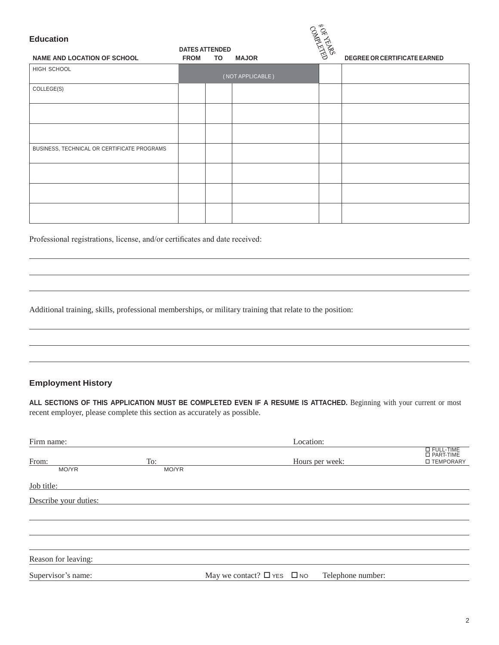# **Education DATES ATTENDED NAME AND LOCATION OF SCHOOL**<br> **EQUILIBRITENT BATES ATTENDED**<br>
FROM TO MAJOR<br>
FROM TO MAJOR<br>
PORTER OR CERTIFICATE EARNED HIGH SCHOOL ( NOT APPLICABLE ) COLLEGE(S) BUSINESS, TECHNICAL OR CERTIFICATE PROGRAMS

Professional registrations, license, and/or certificates and date received:

Additional training, skills, professional memberships, or military training that relate to the position:

#### **Employment History**

**ALL SECTIONS OF THIS APPLICATION MUST BE COMPLETED EVEN IF A RESUME IS ATTACHED.** Beginning with your current or most recent employer, please complete this section as accurately as possible.

| Firm name:            |       |                                      | Location: |                   |                                    |
|-----------------------|-------|--------------------------------------|-----------|-------------------|------------------------------------|
| From:                 | To:   |                                      |           | Hours per week:   | <b>EL FULL-TIME</b><br>□ TEMPORARY |
| MO/YR                 | MO/YR |                                      |           |                   |                                    |
| Job title:            |       |                                      |           |                   |                                    |
| Describe your duties: |       |                                      |           |                   |                                    |
|                       |       |                                      |           |                   |                                    |
|                       |       |                                      |           |                   |                                    |
|                       |       |                                      |           |                   |                                    |
| Reason for leaving:   |       |                                      |           |                   |                                    |
| Supervisor's name:    |       | May we contact? $\Box$ YES $\Box$ NO |           | Telephone number: |                                    |
|                       |       |                                      |           |                   |                                    |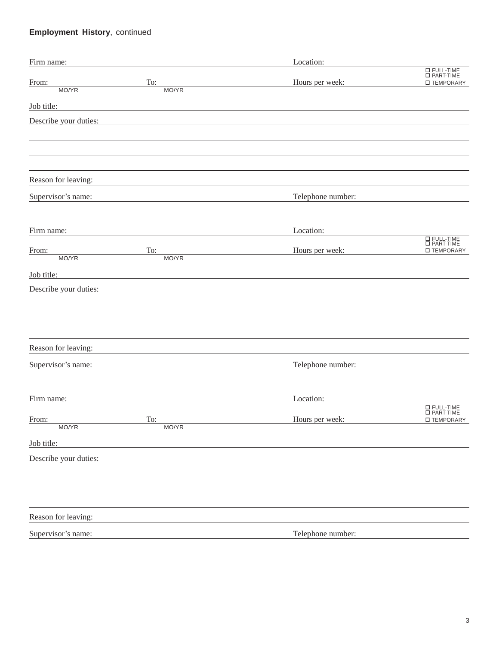### **Employment History**, continued

| Firm name:            |                                                                                                                      | Location:         |                                                                                                                           |
|-----------------------|----------------------------------------------------------------------------------------------------------------------|-------------------|---------------------------------------------------------------------------------------------------------------------------|
| From:                 | To:                                                                                                                  | Hours per week:   | $\begin{tabular}{ c c } \hline \quad \quad & FULL-TIME \\ \quad \quad & PART-TIME \\ \hline \end{tabular}$<br>□ TEMPORARY |
| MO/YR                 | MO/YR                                                                                                                |                   |                                                                                                                           |
| Job title:            | <u> 1989 - Johann Stein, Amerikaansk politiker (* 1958)</u>                                                          |                   |                                                                                                                           |
| Describe your duties: |                                                                                                                      |                   |                                                                                                                           |
|                       |                                                                                                                      |                   |                                                                                                                           |
|                       |                                                                                                                      |                   |                                                                                                                           |
|                       |                                                                                                                      |                   |                                                                                                                           |
| Reason for leaving:   |                                                                                                                      |                   |                                                                                                                           |
| Supervisor's name:    |                                                                                                                      | Telephone number: |                                                                                                                           |
|                       |                                                                                                                      |                   |                                                                                                                           |
|                       |                                                                                                                      |                   |                                                                                                                           |
| Firm name:            |                                                                                                                      | Location:         | E FULL-TIME<br>E PART-TIME                                                                                                |
| From:                 | To:                                                                                                                  | Hours per week:   | □ TEMPORARY                                                                                                               |
| MO/YR                 | MO/YR                                                                                                                |                   |                                                                                                                           |
| Job title:            | <u> 1980 - Jan Stein Stein Stein Stein Stein Stein Stein Stein Stein Stein Stein Stein Stein Stein Stein Stein S</u> |                   |                                                                                                                           |
| Describe your duties: |                                                                                                                      |                   |                                                                                                                           |
|                       |                                                                                                                      |                   |                                                                                                                           |
|                       |                                                                                                                      |                   |                                                                                                                           |
|                       |                                                                                                                      |                   |                                                                                                                           |
| Reason for leaving:   |                                                                                                                      |                   |                                                                                                                           |
| Supervisor's name:    |                                                                                                                      | Telephone number: |                                                                                                                           |
|                       |                                                                                                                      |                   |                                                                                                                           |
| Firm name:            |                                                                                                                      | Location:         |                                                                                                                           |
|                       |                                                                                                                      |                   | 日 FULL-TIME<br>ロ PART-TIME                                                                                                |
| From:<br>MO/YR        | To:<br>MO/YR                                                                                                         | Hours per week:   | LIEMPORARY                                                                                                                |
| Job title:            |                                                                                                                      |                   |                                                                                                                           |
|                       |                                                                                                                      |                   |                                                                                                                           |
| Describe your duties: |                                                                                                                      |                   |                                                                                                                           |
|                       |                                                                                                                      |                   |                                                                                                                           |
|                       |                                                                                                                      |                   |                                                                                                                           |
| Reason for leaving:   |                                                                                                                      |                   |                                                                                                                           |
| Supervisor's name:    |                                                                                                                      | Telephone number: |                                                                                                                           |